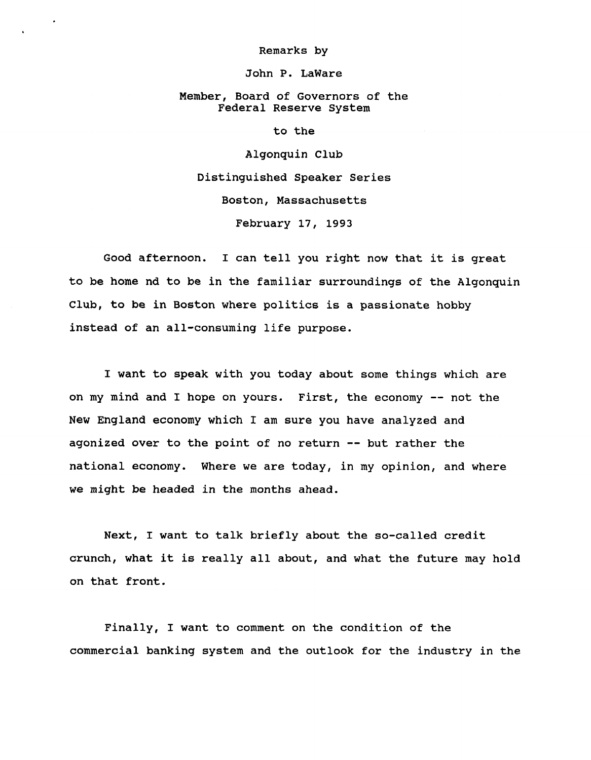**Remarks by**

**John P. LaWare**

**Member, Board of Governors of the Federal Reserve System**

**to the**

**Algonquin Club Distinguished Speaker Series Boston, Massachusetts February 17, 1993**

**Good afternoon. I can tell you right now that it is great to be home nd to be in the familiar surroundings of the Algonquin Club, to be in Boston where politics is a passionate hobby instead of an all-consuming life purpose.**

**I want to speak with you today about some things which are on my mind and I hope on yours. First, the economy — not the New England economy which X am sure you have analyzed and agonized over to the point of no return — but rather the national economy. Where we are today, in my opinion, and where we might be headed in the months ahead.**

**Next, I want to talk briefly about the so-called credit crunch, what it is really all about, and what the future may hold on that front.**

**Finally, I want to comment on the condition of the commercial banking system and the outlook for the industry in the**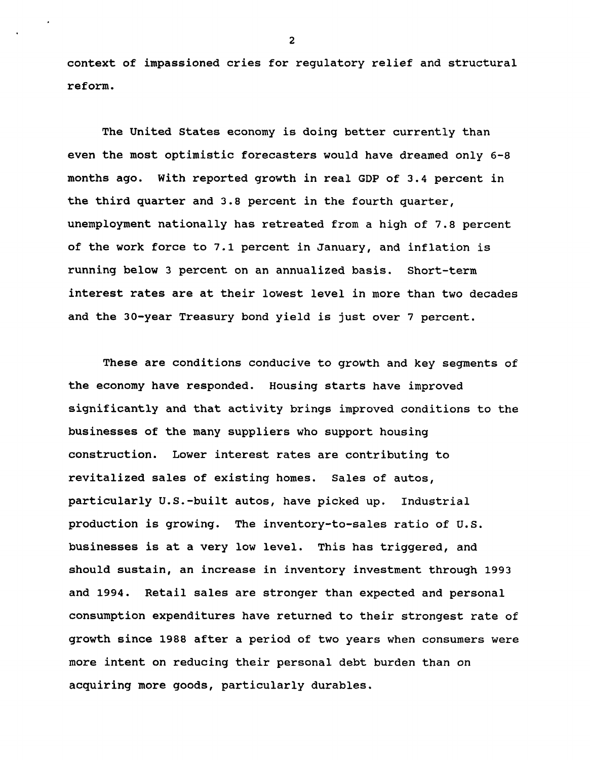**context of impassioned cries for regulatory relief and structural reform.**

**The United States economy is doing better currently than even the most optimistic forecasters would have dreamed only 6-8 months ago. With reported growth in real GDP of 3.4 percent in the third quarter and 3.8 percent in the fourth quarter, unemployment nationally has retreated from a high of 7.8 percent of the work force to 7.1 percent in January, and inflation is running below 3 percent on an annualized basis. Short-term interest rates are at their lowest level in more than two decades and the 30-year Treasury bond yield is just over 7 percent.**

**These are conditions conducive to growth and key segments of the economy have responded. Housing starts have improved significantly and that activity brings improved conditions to the businesses of the many suppliers who support housing construction. Lower interest rates are contributing to revitalized sales of existing homes. Sales of autos, particularly U.S.-built autos, have picked up. Industrial production is growing. The inventory-to-sales ratio of U.S. businesses is at a very low level. This has triggered, and should sustain, an increase in inventory investment through 1993 and 1994. Retail sales are stronger than expected and personal consumption expenditures have returned to their strongest rate of growth since 1988 after a period of two years when consumers were more intent on reducing their personal debt burden than on acquiring more goods, particularly durables.**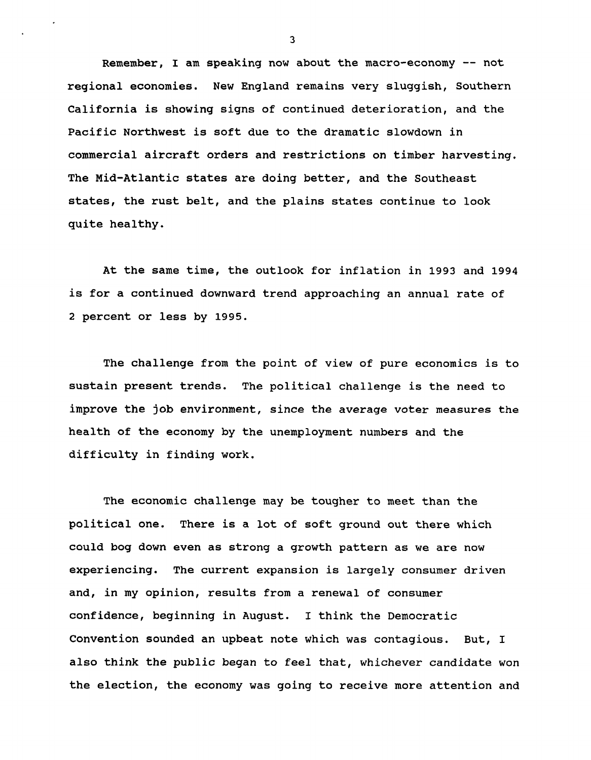**Remember, I am speaking now about the macro-economy — not regional economies. New England remains very sluggish, Southern California is showing signs of continued deterioration, and the Pacific Northwest is soft due to the dramatic slowdown in commercial aircraft orders and restrictions on timber harvesting. The Mid-Atlantic states are doing better, and the Southeast states, the rust belt, and the plains states continue to look quite healthy.**

**At the same time, the outlook for inflation in 1993 and 1994 is for a continued downward trend approaching an annual rate of 2 percent or less by 1995.**

**The challenge from the point of view of pure economics is to sustain present trends. The political challenge is the need to improve the job environment, since the average voter measures the health of the economy by the unemployment numbers and the difficulty in finding work.**

**The economic challenge may be tougher to meet than the political one. There is a lot of soft ground out there which could bog down even as strong a growth pattern as we are now experiencing. The current expansion is largely consumer driven and, in my opinion, results from a renewal of consumer confidence, beginning in August. I think the Democratic Convention sounded an upbeat note which was contagious. But, I also think the public began to feel that, whichever candidate won the election, the economy was going to receive more attention and**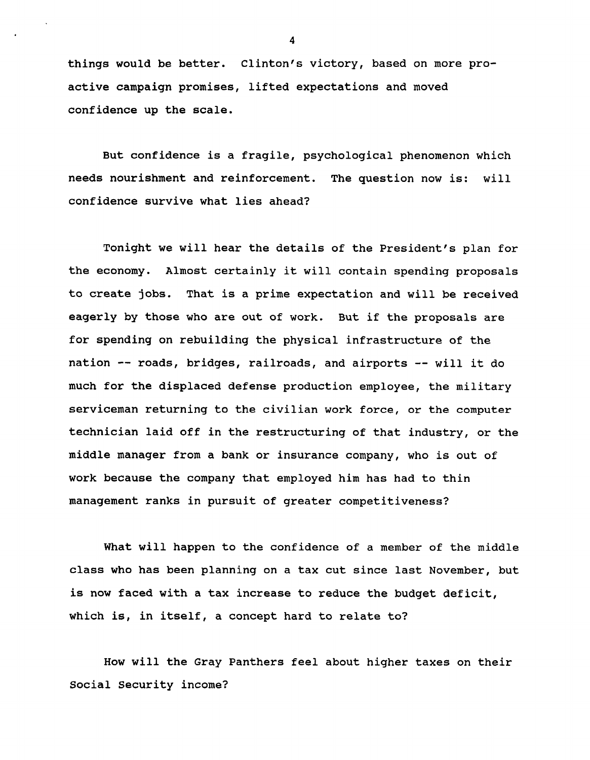**things would be better. Clinton's victory, based on more proactive campaign promises, lifted expectations and moved confidence up the scale.**

**But confidence is a fragile, psychological phenomenon which needs nourishment and reinforcement. The question now is: will confidence survive what lies ahead?**

**Tonight we will hear the details of the President's plan for the economy. Almost certainly it will contain spending proposals to create jobs. That is a prime expectation and will be received eagerly by those who are out of work. But if the proposals are for spending on rebuilding the physical infrastructure of the nation — roads, bridges, railroads, and airports — will it do much for the displaced defense production employee, the military serviceman returning to the civilian work force, or the computer technician laid off in the restructuring of that industry, or the middle manager from a bank or insurance company, who is out of work because the company that employed him has had to thin management ranks in pursuit of greater competitiveness?**

**What will happen to the confidence of a member of the middle class who has been planning on a tax cut since last November, but is now faced with a tax increase to reduce the budget deficit, which is, in itself, a concept hard to relate to?**

**How will the Gray Panthers feel about higher taxes on their Social Security income?**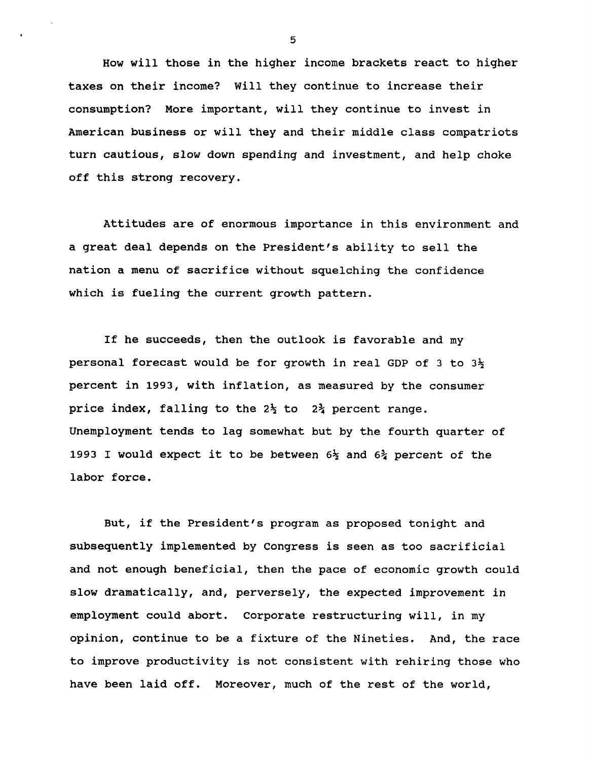**How will those in the higher income brackets react to higher taxes on their income? Will they continue to increase their consumption? More important, will they continue to invest in American business or will they and their middle class compatriots turn cautious, slow down spending and investment, and help choke off this strong recovery.**

**Attitudes are of enormous importance in this environment and a great deal depends on the President's ability to sell the nation a menu of sacrifice without squelching the confidence which is fueling the current growth pattern.**

**If he succeeds, then the outlook is favorable and my personal forecast would be for growth in real GDP of 3 to 3% percent in 1993, with inflation, as measured by the consumer price index, falling to the 2% to 2% percent range. Unemployment tends to lag somewhat but by the fourth quarter of 1993 I would expect it to be between 6% and 6% percent of the labor force.**

**But, if the President's program as proposed tonight and subsequently implemented by Congress is seen as too sacrificial and not enough beneficial, then the pace of economic growth could slow dramatically, and, perversely, the expected improvement in employment could abort. Corporate restructuring will, in my opinion, continue to be a fixture of the Nineties. And, the race to improve productivity is not consistent with rehiring those who have been laid off. Moreover, much of the rest of the world,**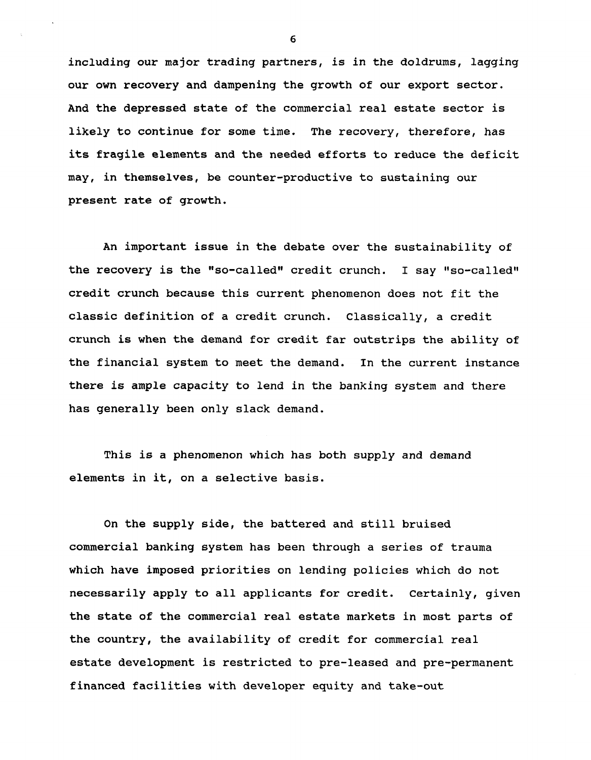**including our major trading partners, is in the doldrums, lagging our own recovery and dampening the growth of our export sector. And the depressed state of the commercial real estate sector is likely to continue for some time. The recovery, therefore, has its fragile elements and the needed efforts to reduce the deficit may, in themselves, be counter-productive to sustaining our present rate of growth.**

**An important issue in the debate over the sustainability of the recovery is the "so-called" credit crunch. I say "so-called" credit crunch because this current phenomenon does not fit the classic definition of a credit crunch. Classically, a credit crunch is when the demand for credit far outstrips the ability of the financial system to meet the demand. In the current instance there is ample capacity to lend in the banking system and there has generally been only slack demand.**

**This is a phenomenon which has both supply and demand elements in it, on a selective basis.**

**On the supply side, the battered and still bruised commercial banking system has been through a series of trauma which have imposed priorities on lending policies which do not necessarily apply to all applicants for credit. Certainly, given the state of the commercial real estate markets in most parts of the country, the availability of credit for commercial real estate development is restricted to pre-leased and pre-permanent financed facilities with developer equity and take-out**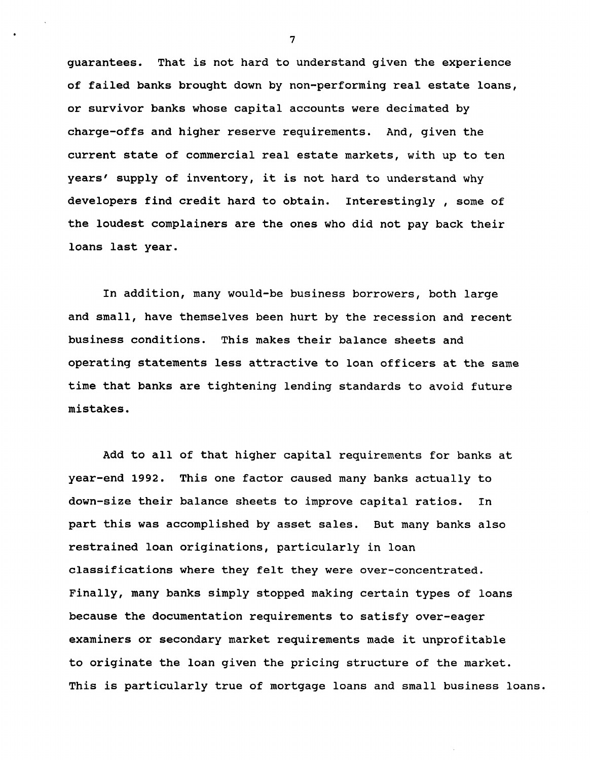**guarantees. That is not hard to understand given the experience of failed banks brought down by non-performing real estate loans, or survivor banks whose capital accounts were decimated by charge-offs and higher reserve requirements. And, given the current state of commercial real estate markets, with up to ten years' supply of inventory, it is not hard to understand why developers find credit hard to obtain. Interestingly , some of the loudest complainers are the ones who did not pay back their loans last year.**

**In addition, many would-be business borrowers, both large and small, have themselves been hurt by the recession and recent business conditions. This makes their balance sheets and operating statements less attractive to loan officers at the same time that banks are tightening lending standards to avoid future mistakes.**

**Add to all of that higher capital requirements for banks at year-end 1992. This one factor caused many banks actually to down-size their balance sheets to improve capital ratios. In part this was accomplished by asset sales. But many banks also restrained loan originations, particularly in loan classifications where they felt they were over-concentrated. Finally, many banks simply stopped making certain types of loans because the documentation requirements to satisfy over-eager examiners or secondary market requirements made it unprofitable to originate the loan given the pricing structure of the market. This is particularly true of mortgage loans and small business loans.**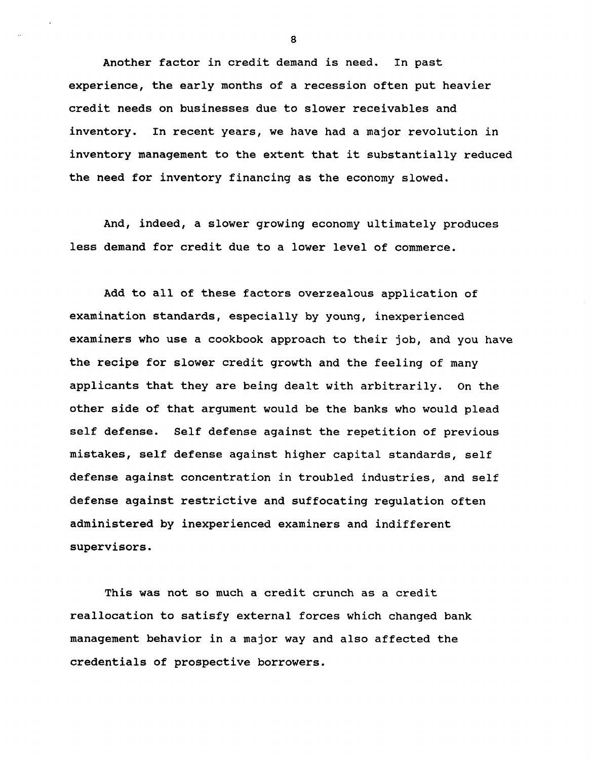**Another factor in credit demand is need. In past experience, the early months of a recession often put heavier credit needs on businesses due to slower receivables and inventory. In recent years, we have had a major revolution in inventory management to the extent that it substantially reduced the need for inventory financing as the economy slowed.**

**And, indeed, a slower growing economy ultimately produces less demand for credit due to a lower level of commerce.**

**Add to all of these factors overzealous application of examination standards, especially by young, inexperienced examiners who use a cookbook approach to their job, and you have the recipe for slower credit growth and the feeling of many applicants that they are being dealt with arbitrarily. On the other side of that argument would be the banks who would plead self defense. Self defense against the repetition of previous mistakes, self defense against higher capital standards, self defense against concentration in troubled industries, and self defense against restrictive and suffocating regulation often administered by inexperienced examiners and indifferent supervisors.**

**This was not so much a credit crunch as a credit reallocation to satisfy external forces which changed bank management behavior in a major way and also affected the credentials of prospective borrowers.**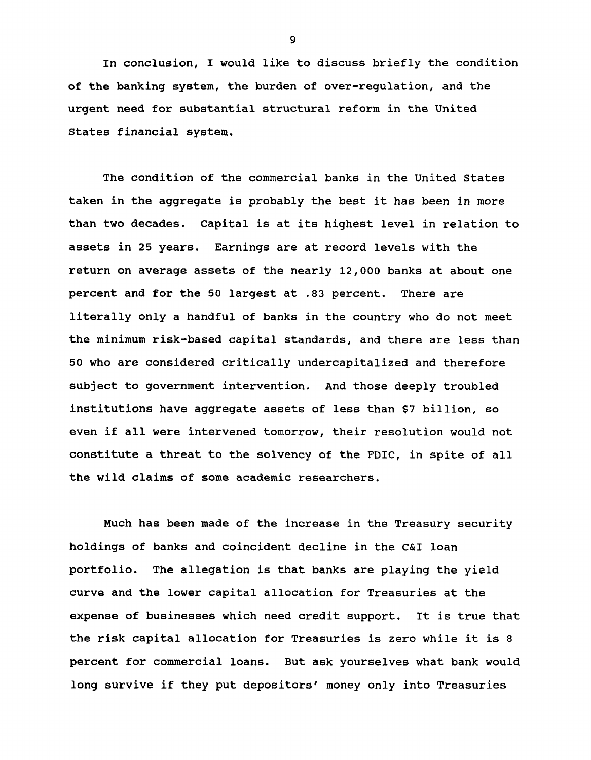**In conclusion, I would like to discuss briefly the condition of the banking system, the burden of over-regulation, and the urgent need for substantial structural reform in the United States financial system.**

**The condition of the commercial banks in the United States taken in the aggregate is probably the best it has been in more than two decades. Capital is at its highest level in relation to assets in 25 years. Earnings are at record levels with the return on average assets of the nearly 12,000 banks at about one percent and for the 50 largest at .83 percent. There are literally only a handful of banks in the country who do not meet the minimum risk-based capital standards, and there are less than 50 who are considered critically undercapitalized and therefore subject to government intervention. And those deeply troubled institutions have aggregate assets of less than \$7 billion, so even if all were intervened tomorrow, their resolution would not constitute a threat to the solvency of the FDIC, in spite of all the wild claims of some academic researchers.**

**Much has been made of the increase in the Treasury security holdings of banks and coincident decline in the C&I loan portfolio. The allegation is that banks are playing the yield curve and the lower capital allocation for Treasuries at the expense of businesses which need credit support. It is true that the risk capital allocation for Treasuries is zero while it is 8 percent for commercial loans. But ask yourselves what bank would long survive if they put depositors' money only into Treasuries**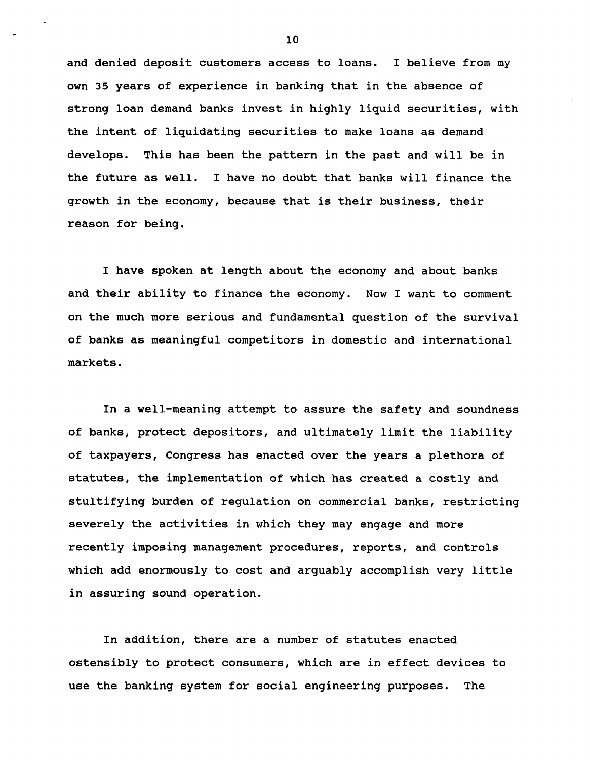**and denied deposit customers access to loans. I believe from my own 35 years of experience in banking that in the absence of strong loan demand banks invest in highly liquid securities, with the intent of liquidating securities to make loans as demand develops. This has been the pattern in the past and will be in the future as well. I have no doubt that banks will finance the growth in the economy, because that is their business, their reason for being.**

**I have spoken at length about the economy and about banks and their ability to finance the economy. Now I want to comment on the much more serious and fundamental question of the survival of banks as meaningful competitors in domestic and international markets.**

**In a well-meaning attempt to assure the safety and soundness of banks, protect depositors, and ultimately limit the liability of taxpayers, Congress has enacted over the years a plethora of statutes, the implementation of which has created a costly and stultifying burden of regulation on commercial banks, restricting severely the activities in which they may engage and more recently imposing management procedures, reports, and controls which add enormously to cost and arguably accomplish very little in assuring sound operation.**

**In addition, there are a number of statutes enacted ostensibly to protect consumers, which are in effect devices to use the banking system for social engineering purposes. The**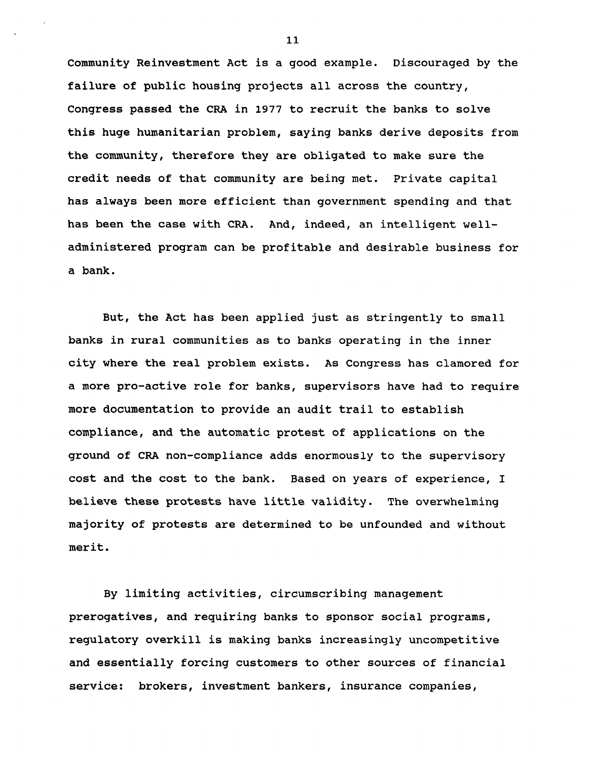**Community Reinvestment Act is a good example. Discouraged by the failure of public housing projects all across the country, Congress passed the CRA in 1977 to recruit the banks to solve this huge humanitarian problem, saying banks derive deposits from the community, therefore they are obligated to make sure the credit needs of that community are being met. Private capital has always been more efficient than government spending and that has been the case with CRA. And, indeed, an intelligent welladministered program can be profitable and desirable business for a bank.**

**But, the Act has been applied just as stringently to small banks in rural communities as to banks operating in the inner city where the real problem exists. As Congress has clamored for a more pro-active role for banks, supervisors have had to require more documentation to provide an audit trail to establish compliance, and the automatic protest of applications on the ground of CRA non-compliance adds enormously to the supervisory cost and the cost to the bank. Based on years of experience, I believe these protests have little validity. The overwhelming majority of protests are determined to be unfounded and without merit.**

**By limiting activities, circumscribing management prerogatives, and requiring banks to sponsor social programs, regulatory overkill is making banks increasingly uncompetitive and essentially forcing customers to other sources of financial service: brokers, investment bankers, insurance companies,**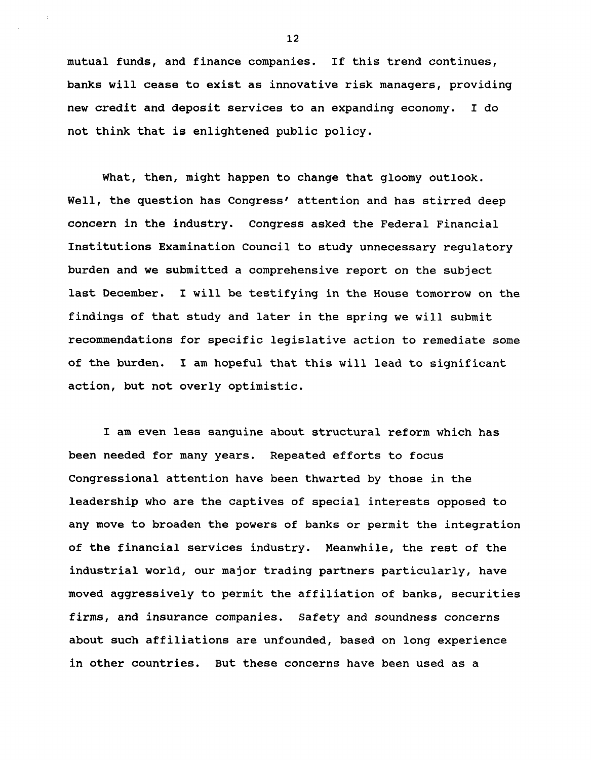**mutual funds, and finance companies. If this trend continues, banks will cease to exist as innovative risk managers, providing new credit and deposit services to an expanding economy. I do not think that is enlightened public policy.**

**What, then, might happen to change that gloomy outlook. Well, the question has Congress' attention and has stirred deep concern in the industry. Congress asked the Federal Financial Institutions Examination Council to study unnecessary regulatory burden and we submitted a comprehensive report on the subject last December. I will be testifying in the House tomorrow on the findings of that study and later in the spring we will submit recommendations for specific legislative action to remediate some of the burden. I am hopeful that this will lead to significant action, but not overly optimistic.**

**I am even less sanguine about structural reform which has been needed for many years. Repeated efforts to focus Congressional attention have been thwarted by those in the leadership who are the captives of special interests opposed to any move to broaden the powers of banks or permit the integration of the financial services industry. Meanwhile, the rest of the industrial world, our major trading partners particularly, have moved aggressively to permit the affiliation of banks, securities firms, and insurance companies. Safety and soundness concerns about such affiliations are unfounded, based on long experience in other countries. But these concerns have been used as a**